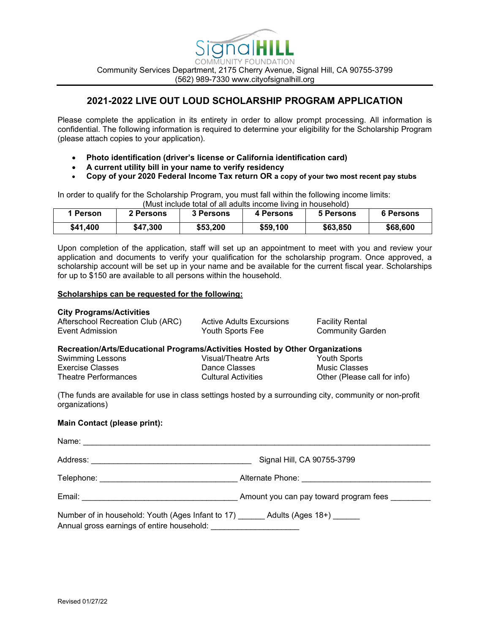

## **2021-2022 LIVE OUT LOUD SCHOLARSHIP PROGRAM APPLICATION**

Please complete the application in its entirety in order to allow prompt processing. All information is confidential. The following information is required to determine your eligibility for the Scholarship Program (please attach copies to your application).

- **Photo identification (driver's license or California identification card)**
- **A current utility bill in your name to verify residency**
- **Copy of your 2020 Federal Income Tax return OR a copy of your two most recent pay stubs**

In order to qualify for the Scholarship Program, you must fall within the following income limits: (Must include total of all adults income living in household)

| 1 Person | 2 Persons | UNUSLINGUQE IOIALOL AII AQUIIS INCOME INING IN NOUSENOIQ)<br>3 Persons | 4 Persons | 5 Persons | 6 Persons |
|----------|-----------|------------------------------------------------------------------------|-----------|-----------|-----------|
| \$41,400 | \$47,300  | \$53,200                                                               | \$59,100  | \$63,850  | \$68,600  |

Upon completion of the application, staff will set up an appointment to meet with you and review your application and documents to verify your qualification for the scholarship program. Once approved, a scholarship account will be set up in your name and be available for the current fiscal year. Scholarships for up to \$150 are available to all persons within the household.

## **Scholarships can be requested for the following:**

#### **City Programs/Activities**

| Afterschool Recreation Club (ARC) | Active Adults Excursions | <b>Facility Rental</b>  |
|-----------------------------------|--------------------------|-------------------------|
| Event Admission                   | Youth Sports Fee         | <b>Community Garden</b> |

#### **Recreation/Arts/Educational Programs/Activities Hosted by Other Organizations**

| <b>Swimming Lessons</b> | Visual/Theatre Arts        | Youth Sports                 |
|-------------------------|----------------------------|------------------------------|
| Exercise Classes        | Dance Classes              | Music Classes                |
| Theatre Performances    | <b>Cultural Activities</b> | Other (Please call for info) |

(The funds are available for use in class settings hosted by a surrounding city, community or non-profit organizations)

## **Main Contact (please print):**

| Name:                                                                                                             |                                        |
|-------------------------------------------------------------------------------------------------------------------|----------------------------------------|
|                                                                                                                   | Signal Hill, CA 90755-3799             |
| Telephone: The contract of the contract of the contract of the contract of the contract of the contract of the    | Alternate Phone: Alternate Phone:      |
| Email:                                                                                                            | Amount you can pay toward program fees |
| Number of in household: Youth (Ages Infant to 17) Adults (Ages 18+)<br>Annual gross earnings of entire household: |                                        |